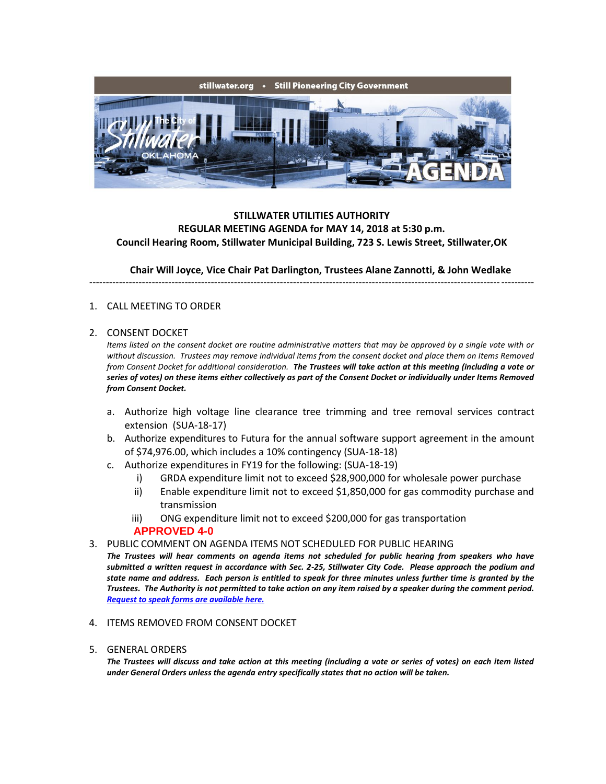

# **STILLWATER UTILITIES AUTHORITY REGULAR MEETING AGENDA for MAY 14, 2018 at 5:30 p.m. Council Hearing Room, Stillwater Municipal Building, 723 S. Lewis Street, Stillwater,OK**

**Chair Will Joyce, Vice Chair Pat Darlington, Trustees Alane Zannotti, & John Wedlake**

---------------------------------------------------------------------------------------------------------------------------------------

### 1. CALL MEETING TO ORDER

#### 2. CONSENT DOCKET

*Items listed on the consent docket are routine administrative matters that may be approved by a single vote with or without discussion. Trustees may remove individual items from the consent docket and place them on Items Removed from Consent Docket for additional consideration. The Trustees will take action at this meeting (including a vote or series of votes) on these items either collectively as part of the Consent Docket or individually under Items Removed from Consent Docket.*

- a. Authorize high voltage line clearance tree trimming and tree removal services contract extension(SUA-18-17)
- b. Authorize expenditures to Futura for the annual software support agreement in the amount of \$74,976.00, which includes a 10% contingency (SUA-18-18)
- c. Authorize expenditures in FY19 for the following: (SUA-18-19)
	- i) GRDA expenditure limit not to exceed \$28,900,000 for wholesale power purchase
	- ii) Enable expenditure limit not to exceed \$1,850,000 for gas commodity purchase and transmission
	- iii) ONG expenditure limit not to exceed \$200,000 for gas transportation **APPROVED 4-0**
- 3. PUBLIC COMMENT ON AGENDA ITEMS NOT SCHEDULED FOR PUBLIC HEARING

*The Trustees will hear comments on agenda items not scheduled for public hearing from speakers who have submitted a written request in accordance with Sec. 2-25, Stillwater City Code. Please approach the podium and state name and address. Each person is entitled to speak for three minutes unless further time is granted by the Trustees. The Authority is not permitted to take action on any item raised by a speaker during the comment period. [Request to speak forms are available here.](http://stillwater.org/document/request_to_speak_at_city_council.php)*

- 4. ITEMS REMOVED FROM CONSENT DOCKET
- 5. GENERAL ORDERS

*The Trustees will discuss and take action at this meeting (including a vote or series of votes) on each item listed under General Orders unless the agenda entry specifically states that no action will be taken.*